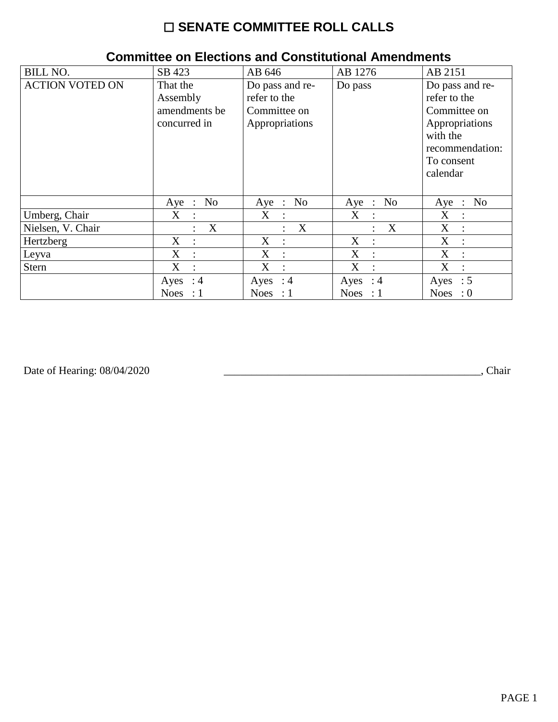## $\square$  SENATE COMMITTEE ROLL CALLS

| <b>BILL NO.</b>        | SB 423                                                | AB 646                                                            | AB 1276                   | AB 2151                                                                                                                    |
|------------------------|-------------------------------------------------------|-------------------------------------------------------------------|---------------------------|----------------------------------------------------------------------------------------------------------------------------|
| <b>ACTION VOTED ON</b> | That the<br>Assembly<br>amendments be<br>concurred in | Do pass and re-<br>refer to the<br>Committee on<br>Appropriations | Do pass                   | Do pass and re-<br>refer to the<br>Committee on<br>Appropriations<br>with the<br>recommendation:<br>To consent<br>calendar |
|                        | No<br>Aye<br>$\ddot{\phantom{a}}$                     | Aye : No                                                          | No<br>$Aye$ :             | No<br>Aye<br>$\sim 10^7$                                                                                                   |
| Umberg, Chair          | X                                                     | $X_{\mathcal{C}}$<br>$\mathbf{r}$                                 | X<br>$\sim$ 10 $\sim$     | X<br>$\ddot{\phantom{a}}$                                                                                                  |
| Nielsen, V. Chair      | X                                                     | $\boldsymbol{\mathrm{X}}$<br>$\ddot{\phantom{a}}$                 | X                         | X<br>$\mathbf{L}$                                                                                                          |
| Hertzberg              | X<br>$\ddot{\cdot}$                                   | X<br>$\ddot{\cdot}$                                               | X<br>$\ddot{\phantom{0}}$ | X<br>$\ddot{\cdot}$                                                                                                        |
| Leyva                  | X<br>$\ddot{\cdot}$                                   | X<br>$\ddot{\cdot}$                                               | X                         | X<br>$\bullet$                                                                                                             |
| Stern                  | X<br>$\ddot{\cdot}$                                   | X<br>$\ddot{\cdot}$                                               | X<br>$\ddot{\cdot}$       | X<br>$\ddot{\cdot}$                                                                                                        |
|                        | Ayes : $4$                                            | Ayes : $4$                                                        | Ayes : $4$                | $\therefore$ 5<br>Ayes                                                                                                     |
|                        | <b>Noes</b><br>: 1                                    | Noes : $1$                                                        | Noes : $1$                | $\cdot 0$<br><b>Noes</b>                                                                                                   |

## **Committee on Elections and Constitutional Amendments**

Date of Hearing: 08/04/2020

Chair (Chair